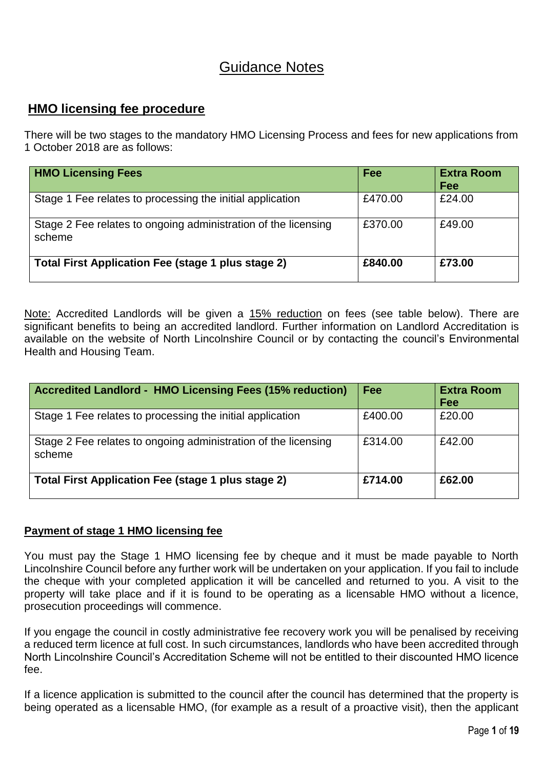# Guidance Notes

# **HMO licensing fee procedure**

There will be two stages to the mandatory HMO Licensing Process and fees for new applications from 1 October 2018 are as follows:

| <b>HMO Licensing Fees</b>                                                | Fee     | <b>Extra Room</b><br>Fee |
|--------------------------------------------------------------------------|---------|--------------------------|
| Stage 1 Fee relates to processing the initial application                | £470.00 | £24.00                   |
| Stage 2 Fee relates to ongoing administration of the licensing<br>scheme | £370.00 | £49.00                   |
| Total First Application Fee (stage 1 plus stage 2)                       | £840,00 | £73.00                   |

Note: Accredited Landlords will be given a 15% reduction on fees (see table below). There are significant benefits to being an accredited landlord. Further information on Landlord Accreditation is available on the website of North Lincolnshire Council or by contacting the council's Environmental Health and Housing Team.

| <b>Accredited Landlord - HMO Licensing Fees (15% reduction)</b>          | Fee     | <b>Extra Room</b><br>Fee |
|--------------------------------------------------------------------------|---------|--------------------------|
| Stage 1 Fee relates to processing the initial application                | £400.00 | £20.00                   |
| Stage 2 Fee relates to ongoing administration of the licensing<br>scheme | £314.00 | £42.00                   |
| <b>Total First Application Fee (stage 1 plus stage 2)</b>                | £714.00 | £62.00                   |

# **Payment of stage 1 HMO licensing fee**

You must pay the Stage 1 HMO licensing fee by cheque and it must be made payable to North Lincolnshire Council before any further work will be undertaken on your application. If you fail to include the cheque with your completed application it will be cancelled and returned to you. A visit to the property will take place and if it is found to be operating as a licensable HMO without a licence, prosecution proceedings will commence.

If you engage the council in costly administrative fee recovery work you will be penalised by receiving a reduced term licence at full cost. In such circumstances, landlords who have been accredited through North Lincolnshire Council's Accreditation Scheme will not be entitled to their discounted HMO licence fee.

If a licence application is submitted to the council after the council has determined that the property is being operated as a licensable HMO, (for example as a result of a proactive visit), then the applicant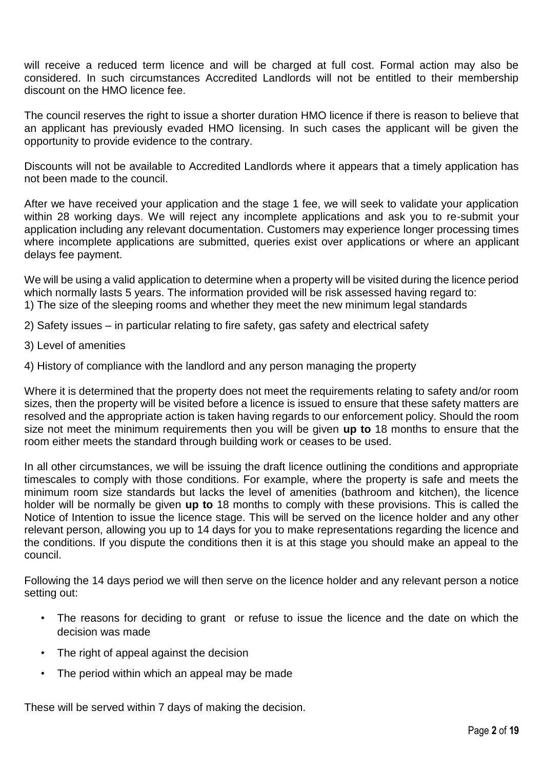will receive a reduced term licence and will be charged at full cost. Formal action may also be considered. In such circumstances Accredited Landlords will not be entitled to their membership discount on the HMO licence fee.

The council reserves the right to issue a shorter duration HMO licence if there is reason to believe that an applicant has previously evaded HMO licensing. In such cases the applicant will be given the opportunity to provide evidence to the contrary.

Discounts will not be available to Accredited Landlords where it appears that a timely application has not been made to the council.

After we have received your application and the stage 1 fee, we will seek to validate your application within 28 working days. We will reject any incomplete applications and ask you to re-submit your application including any relevant documentation. Customers may experience longer processing times where incomplete applications are submitted, queries exist over applications or where an applicant delays fee payment.

We will be using a valid application to determine when a property will be visited during the licence period which normally lasts 5 years. The information provided will be risk assessed having regard to: 1) The size of the sleeping rooms and whether they meet the new minimum legal standards

- 2) Safety issues in particular relating to fire safety, gas safety and electrical safety
- 3) Level of amenities
- 4) History of compliance with the landlord and any person managing the property

Where it is determined that the property does not meet the requirements relating to safety and/or room sizes, then the property will be visited before a licence is issued to ensure that these safety matters are resolved and the appropriate action is taken having regards to our enforcement policy. Should the room size not meet the minimum requirements then you will be given **up to** 18 months to ensure that the room either meets the standard through building work or ceases to be used.

In all other circumstances, we will be issuing the draft licence outlining the conditions and appropriate timescales to comply with those conditions. For example, where the property is safe and meets the minimum room size standards but lacks the level of amenities (bathroom and kitchen), the licence holder will be normally be given **up to** 18 months to comply with these provisions. This is called the Notice of Intention to issue the licence stage. This will be served on the licence holder and any other relevant person, allowing you up to 14 days for you to make representations regarding the licence and the conditions. If you dispute the conditions then it is at this stage you should make an appeal to the council.

Following the 14 days period we will then serve on the licence holder and any relevant person a notice setting out:

- The reasons for deciding to grant or refuse to issue the licence and the date on which the decision was made
- The right of appeal against the decision
- The period within which an appeal may be made

These will be served within 7 days of making the decision.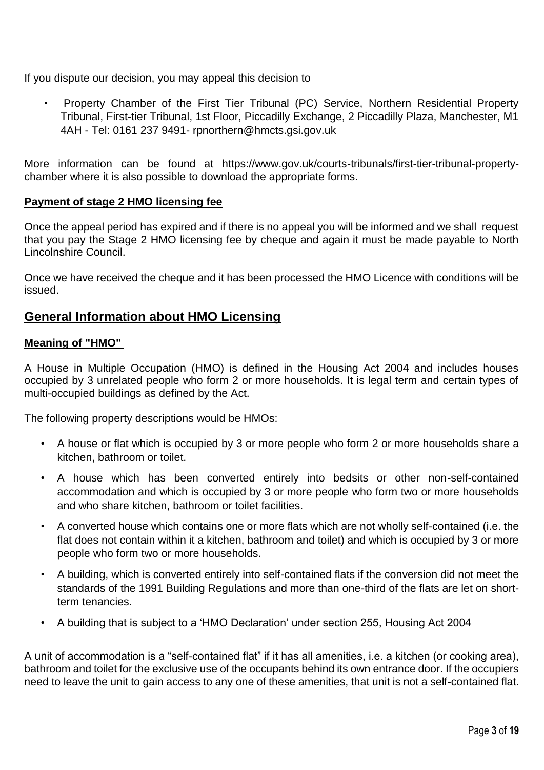If you dispute our decision, you may appeal this decision to

• Property Chamber of the First Tier Tribunal (PC) Service, Northern Residential Property Tribunal, First-tier Tribunal, 1st Floor, Piccadilly Exchange, 2 Piccadilly Plaza, Manchester, M1 4AH - Tel: 0161 237 9491- rpnorthern@hmcts.gsi.gov.uk

More information can be found at https://www.gov.uk/courts-tribunals/first-tier-tribunal-propertychamber where it is also possible to download the appropriate forms.

# **Payment of stage 2 HMO licensing fee**

Once the appeal period has expired and if there is no appeal you will be informed and we shall request that you pay the Stage 2 HMO licensing fee by cheque and again it must be made payable to North Lincolnshire Council.

Once we have received the cheque and it has been processed the HMO Licence with conditions will be issued.

# **General Information about HMO Licensing**

# **Meaning of "HMO"**

A House in Multiple Occupation (HMO) is defined in the Housing Act 2004 and includes houses occupied by 3 unrelated people who form 2 or more households. It is legal term and certain types of multi-occupied buildings as defined by the Act.

The following property descriptions would be HMOs:

- A house or flat which is occupied by 3 or more people who form 2 or more households share a kitchen, bathroom or toilet.
- A house which has been converted entirely into bedsits or other non-self-contained accommodation and which is occupied by 3 or more people who form two or more households and who share kitchen, bathroom or toilet facilities.
- A converted house which contains one or more flats which are not wholly self-contained (i.e. the flat does not contain within it a kitchen, bathroom and toilet) and which is occupied by 3 or more people who form two or more households.
- A building, which is converted entirely into self-contained flats if the conversion did not meet the standards of the 1991 Building Regulations and more than one-third of the flats are let on shortterm tenancies.
- A building that is subject to a 'HMO Declaration' under section 255, Housing Act 2004

A unit of accommodation is a "self-contained flat" if it has all amenities, i.e. a kitchen (or cooking area), bathroom and toilet for the exclusive use of the occupants behind its own entrance door. If the occupiers need to leave the unit to gain access to any one of these amenities, that unit is not a self-contained flat.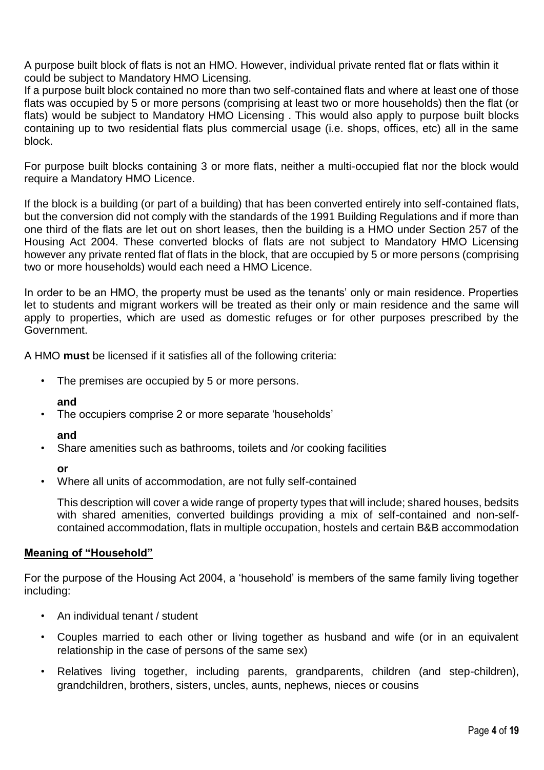A purpose built block of flats is not an HMO. However, individual private rented flat or flats within it could be subject to Mandatory HMO Licensing.

If a purpose built block contained no more than two self-contained flats and where at least one of those flats was occupied by 5 or more persons (comprising at least two or more households) then the flat (or flats) would be subject to Mandatory HMO Licensing . This would also apply to purpose built blocks containing up to two residential flats plus commercial usage (i.e. shops, offices, etc) all in the same block.

For purpose built blocks containing 3 or more flats, neither a multi-occupied flat nor the block would require a Mandatory HMO Licence.

If the block is a building (or part of a building) that has been converted entirely into self-contained flats, but the conversion did not comply with the standards of the 1991 Building Regulations and if more than one third of the flats are let out on short leases, then the building is a HMO under Section 257 of the Housing Act 2004. These converted blocks of flats are not subject to Mandatory HMO Licensing however any private rented flat of flats in the block, that are occupied by 5 or more persons (comprising two or more households) would each need a HMO Licence.

In order to be an HMO, the property must be used as the tenants' only or main residence. Properties let to students and migrant workers will be treated as their only or main residence and the same will apply to properties, which are used as domestic refuges or for other purposes prescribed by the Government.

A HMO **must** be licensed if it satisfies all of the following criteria:

• The premises are occupied by 5 or more persons.

#### **and**

• The occupiers comprise 2 or more separate 'households'

#### **and**

• Share amenities such as bathrooms, toilets and /or cooking facilities

# **or**

• Where all units of accommodation, are not fully self-contained

This description will cover a wide range of property types that will include; shared houses, bedsits with shared amenities, converted buildings providing a mix of self-contained and non-selfcontained accommodation, flats in multiple occupation, hostels and certain B&B accommodation

# **Meaning of "Household"**

For the purpose of the Housing Act 2004, a 'household' is members of the same family living together including:

- An individual tenant / student
- Couples married to each other or living together as husband and wife (or in an equivalent relationship in the case of persons of the same sex)
- Relatives living together, including parents, grandparents, children (and step-children), grandchildren, brothers, sisters, uncles, aunts, nephews, nieces or cousins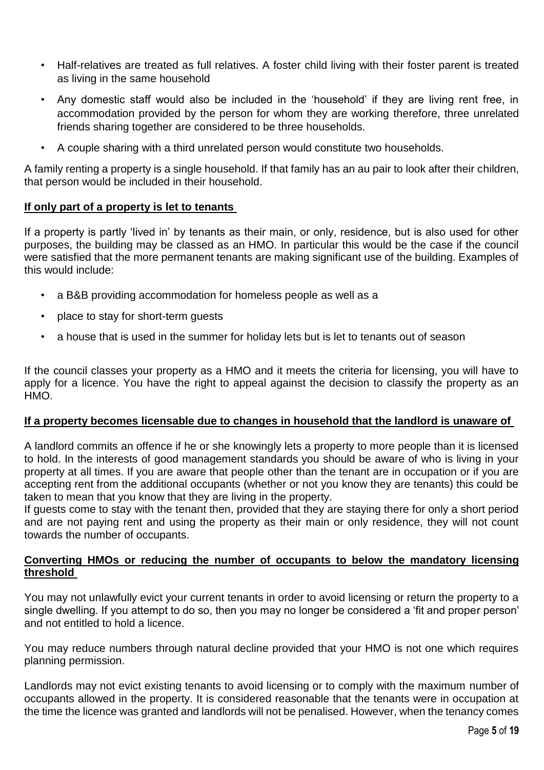- Half-relatives are treated as full relatives. A foster child living with their foster parent is treated as living in the same household
- Any domestic staff would also be included in the 'household' if they are living rent free, in accommodation provided by the person for whom they are working therefore, three unrelated friends sharing together are considered to be three households.
- A couple sharing with a third unrelated person would constitute two households.

A family renting a property is a single household. If that family has an au pair to look after their children, that person would be included in their household.

### **If only part of a property is let to tenants**

If a property is partly 'lived in' by tenants as their main, or only, residence, but is also used for other purposes, the building may be classed as an HMO. In particular this would be the case if the council were satisfied that the more permanent tenants are making significant use of the building. Examples of this would include:

- a B&B providing accommodation for homeless people as well as a
- place to stay for short-term guests
- a house that is used in the summer for holiday lets but is let to tenants out of season

If the council classes your property as a HMO and it meets the criteria for licensing, you will have to apply for a licence. You have the right to appeal against the decision to classify the property as an HMO.

#### **If a property becomes licensable due to changes in household that the landlord is unaware of**

A landlord commits an offence if he or she knowingly lets a property to more people than it is licensed to hold. In the interests of good management standards you should be aware of who is living in your property at all times. If you are aware that people other than the tenant are in occupation or if you are accepting rent from the additional occupants (whether or not you know they are tenants) this could be taken to mean that you know that they are living in the property.

If guests come to stay with the tenant then, provided that they are staying there for only a short period and are not paying rent and using the property as their main or only residence, they will not count towards the number of occupants.

### **Converting HMOs or reducing the number of occupants to below the mandatory licensing threshold**

You may not unlawfully evict your current tenants in order to avoid licensing or return the property to a single dwelling. If you attempt to do so, then you may no longer be considered a 'fit and proper person' and not entitled to hold a licence.

You may reduce numbers through natural decline provided that your HMO is not one which requires planning permission.

Landlords may not evict existing tenants to avoid licensing or to comply with the maximum number of occupants allowed in the property. It is considered reasonable that the tenants were in occupation at the time the licence was granted and landlords will not be penalised. However, when the tenancy comes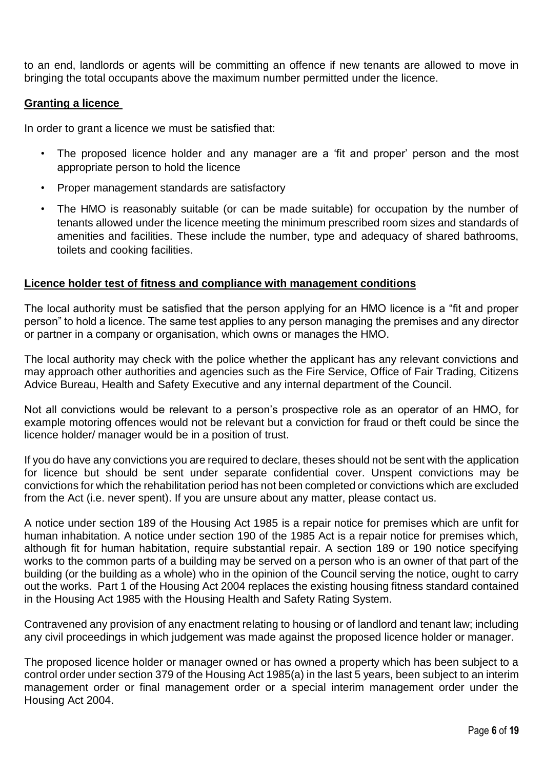to an end, landlords or agents will be committing an offence if new tenants are allowed to move in bringing the total occupants above the maximum number permitted under the licence.

# **Granting a licence**

In order to grant a licence we must be satisfied that:

- The proposed licence holder and any manager are a 'fit and proper' person and the most appropriate person to hold the licence
- Proper management standards are satisfactory
- The HMO is reasonably suitable (or can be made suitable) for occupation by the number of tenants allowed under the licence meeting the minimum prescribed room sizes and standards of amenities and facilities. These include the number, type and adequacy of shared bathrooms, toilets and cooking facilities.

### **Licence holder test of fitness and compliance with management conditions**

The local authority must be satisfied that the person applying for an HMO licence is a "fit and proper person" to hold a licence. The same test applies to any person managing the premises and any director or partner in a company or organisation, which owns or manages the HMO.

The local authority may check with the police whether the applicant has any relevant convictions and may approach other authorities and agencies such as the Fire Service, Office of Fair Trading, Citizens Advice Bureau, Health and Safety Executive and any internal department of the Council.

Not all convictions would be relevant to a person's prospective role as an operator of an HMO, for example motoring offences would not be relevant but a conviction for fraud or theft could be since the licence holder/ manager would be in a position of trust.

If you do have any convictions you are required to declare, theses should not be sent with the application for licence but should be sent under separate confidential cover. Unspent convictions may be convictions for which the rehabilitation period has not been completed or convictions which are excluded from the Act (i.e. never spent). If you are unsure about any matter, please contact us.

A notice under section 189 of the Housing Act 1985 is a repair notice for premises which are unfit for human inhabitation. A notice under section 190 of the 1985 Act is a repair notice for premises which, although fit for human habitation, require substantial repair. A section 189 or 190 notice specifying works to the common parts of a building may be served on a person who is an owner of that part of the building (or the building as a whole) who in the opinion of the Council serving the notice, ought to carry out the works. Part 1 of the Housing Act 2004 replaces the existing housing fitness standard contained in the Housing Act 1985 with the Housing Health and Safety Rating System.

Contravened any provision of any enactment relating to housing or of landlord and tenant law; including any civil proceedings in which judgement was made against the proposed licence holder or manager.

The proposed licence holder or manager owned or has owned a property which has been subject to a control order under section 379 of the Housing Act 1985(a) in the last 5 years, been subject to an interim management order or final management order or a special interim management order under the Housing Act 2004.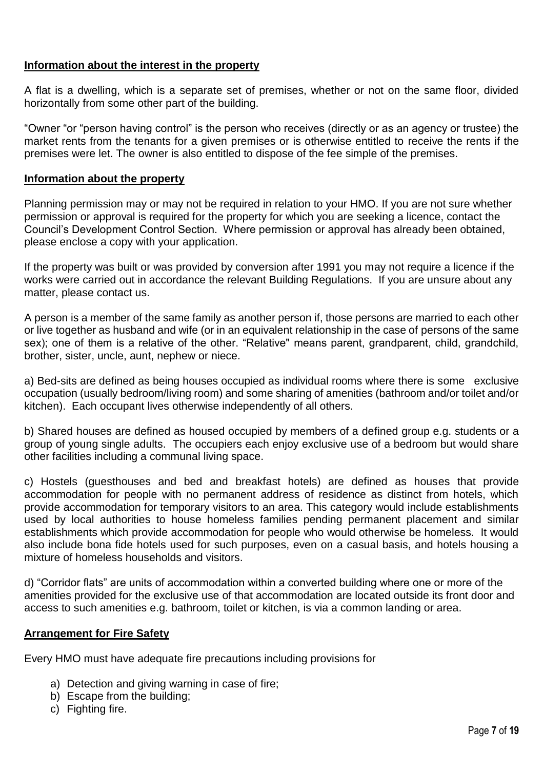# **Information about the interest in the property**

A flat is a dwelling, which is a separate set of premises, whether or not on the same floor, divided horizontally from some other part of the building.

"Owner "or "person having control" is the person who receives (directly or as an agency or trustee) the market rents from the tenants for a given premises or is otherwise entitled to receive the rents if the premises were let. The owner is also entitled to dispose of the fee simple of the premises.

## **Information about the property**

Planning permission may or may not be required in relation to your HMO. If you are not sure whether permission or approval is required for the property for which you are seeking a licence, contact the Council's Development Control Section. Where permission or approval has already been obtained, please enclose a copy with your application.

If the property was built or was provided by conversion after 1991 you may not require a licence if the works were carried out in accordance the relevant Building Regulations. If you are unsure about any matter, please contact us.

A person is a member of the same family as another person if, those persons are married to each other or live together as husband and wife (or in an equivalent relationship in the case of persons of the same sex); one of them is a relative of the other. "Relative" means parent, grandparent, child, grandchild, brother, sister, uncle, aunt, nephew or niece.

a) Bed-sits are defined as being houses occupied as individual rooms where there is some exclusive occupation (usually bedroom/living room) and some sharing of amenities (bathroom and/or toilet and/or kitchen). Each occupant lives otherwise independently of all others.

b) Shared houses are defined as housed occupied by members of a defined group e.g. students or a group of young single adults. The occupiers each enjoy exclusive use of a bedroom but would share other facilities including a communal living space.

c) Hostels (guesthouses and bed and breakfast hotels) are defined as houses that provide accommodation for people with no permanent address of residence as distinct from hotels, which provide accommodation for temporary visitors to an area. This category would include establishments used by local authorities to house homeless families pending permanent placement and similar establishments which provide accommodation for people who would otherwise be homeless. It would also include bona fide hotels used for such purposes, even on a casual basis, and hotels housing a mixture of homeless households and visitors.

d) "Corridor flats" are units of accommodation within a converted building where one or more of the amenities provided for the exclusive use of that accommodation are located outside its front door and access to such amenities e.g. bathroom, toilet or kitchen, is via a common landing or area.

# **Arrangement for Fire Safety**

Every HMO must have adequate fire precautions including provisions for

- a) Detection and giving warning in case of fire;
- b) Escape from the building;
- c) Fighting fire.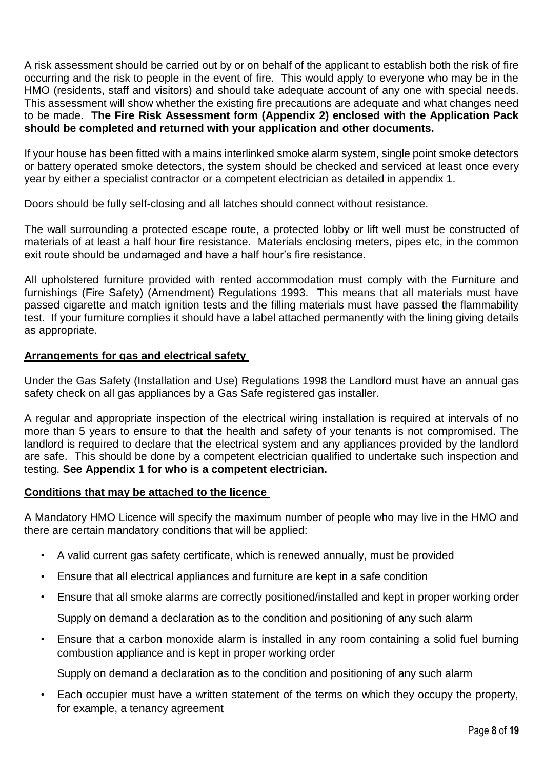A risk assessment should be carried out by or on behalf of the applicant to establish both the risk of fire occurring and the risk to people in the event of fire. This would apply to everyone who may be in the HMO (residents, staff and visitors) and should take adequate account of any one with special needs. This assessment will show whether the existing fire precautions are adequate and what changes need to be made. **The Fire Risk Assessment form (Appendix 2) enclosed with the Application Pack should be completed and returned with your application and other documents.**

If your house has been fitted with a mains interlinked smoke alarm system, single point smoke detectors or battery operated smoke detectors, the system should be checked and serviced at least once every year by either a specialist contractor or a competent electrician as detailed in appendix 1.

Doors should be fully self-closing and all latches should connect without resistance.

The wall surrounding a protected escape route, a protected lobby or lift well must be constructed of materials of at least a half hour fire resistance. Materials enclosing meters, pipes etc, in the common exit route should be undamaged and have a half hour's fire resistance.

All upholstered furniture provided with rented accommodation must comply with the Furniture and furnishings (Fire Safety) (Amendment) Regulations 1993. This means that all materials must have passed cigarette and match ignition tests and the filling materials must have passed the flammability test. If your furniture complies it should have a label attached permanently with the lining giving details as appropriate.

# **Arrangements for gas and electrical safety**

Under the Gas Safety (Installation and Use) Regulations 1998 the Landlord must have an annual gas safety check on all gas appliances by a Gas Safe registered gas installer.

A regular and appropriate inspection of the electrical wiring installation is required at intervals of no more than 5 years to ensure to that the health and safety of your tenants is not compromised. The landlord is required to declare that the electrical system and any appliances provided by the landlord are safe. This should be done by a competent electrician qualified to undertake such inspection and testing. **See Appendix 1 for who is a competent electrician.** 

# **Conditions that may be attached to the licence**

A Mandatory HMO Licence will specify the maximum number of people who may live in the HMO and there are certain mandatory conditions that will be applied:

- A valid current gas safety certificate, which is renewed annually, must be provided
- Ensure that all electrical appliances and furniture are kept in a safe condition
- Ensure that all smoke alarms are correctly positioned/installed and kept in proper working order

Supply on demand a declaration as to the condition and positioning of any such alarm

• Ensure that a carbon monoxide alarm is installed in any room containing a solid fuel burning combustion appliance and is kept in proper working order

Supply on demand a declaration as to the condition and positioning of any such alarm

• Each occupier must have a written statement of the terms on which they occupy the property, for example, a tenancy agreement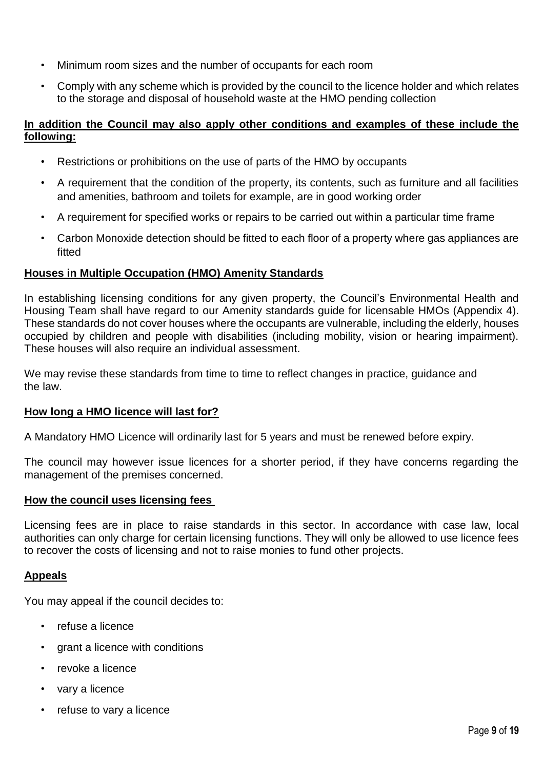- Minimum room sizes and the number of occupants for each room
- Comply with any scheme which is provided by the council to the licence holder and which relates to the storage and disposal of household waste at the HMO pending collection

# **In addition the Council may also apply other conditions and examples of these include the following:**

- Restrictions or prohibitions on the use of parts of the HMO by occupants
- A requirement that the condition of the property, its contents, such as furniture and all facilities and amenities, bathroom and toilets for example, are in good working order
- A requirement for specified works or repairs to be carried out within a particular time frame
- Carbon Monoxide detection should be fitted to each floor of a property where gas appliances are fitted

### **Houses in Multiple Occupation (HMO) Amenity Standards**

In establishing licensing conditions for any given property, the Council's Environmental Health and Housing Team shall have regard to our Amenity standards guide for licensable HMOs (Appendix 4). These standards do not cover houses where the occupants are vulnerable, including the elderly, houses occupied by children and people with disabilities (including mobility, vision or hearing impairment). These houses will also require an individual assessment.

We may revise these standards from time to time to reflect changes in practice, guidance and the law.

#### **How long a HMO licence will last for?**

A Mandatory HMO Licence will ordinarily last for 5 years and must be renewed before expiry.

The council may however issue licences for a shorter period, if they have concerns regarding the management of the premises concerned.

#### **How the council uses licensing fees**

Licensing fees are in place to raise standards in this sector. In accordance with case law, local authorities can only charge for certain licensing functions. They will only be allowed to use licence fees to recover the costs of licensing and not to raise monies to fund other projects.

#### **Appeals**

You may appeal if the council decides to:

- refuse a licence
- grant a licence with conditions
- revoke a licence
- vary a licence
- refuse to vary a licence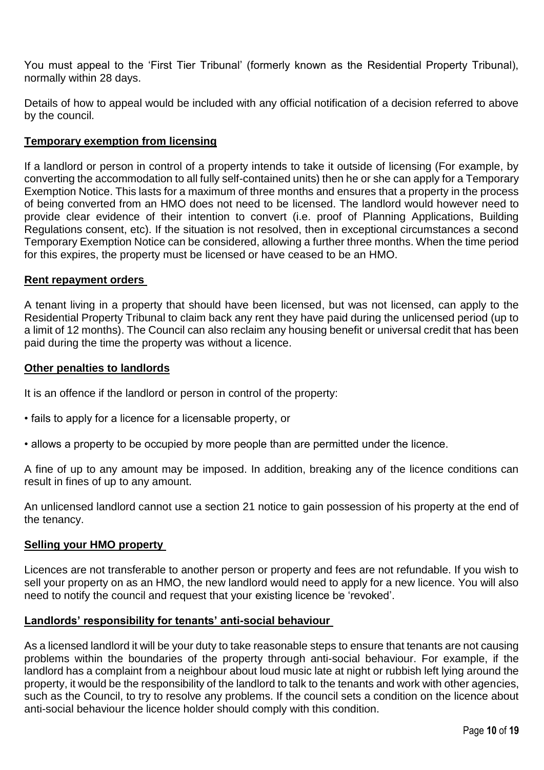You must appeal to the 'First Tier Tribunal' (formerly known as the Residential Property Tribunal), normally within 28 days.

Details of how to appeal would be included with any official notification of a decision referred to above by the council.

# **Temporary exemption from licensing**

If a landlord or person in control of a property intends to take it outside of licensing (For example, by converting the accommodation to all fully self-contained units) then he or she can apply for a Temporary Exemption Notice. This lasts for a maximum of three months and ensures that a property in the process of being converted from an HMO does not need to be licensed. The landlord would however need to provide clear evidence of their intention to convert (i.e. proof of Planning Applications, Building Regulations consent, etc). If the situation is not resolved, then in exceptional circumstances a second Temporary Exemption Notice can be considered, allowing a further three months. When the time period for this expires, the property must be licensed or have ceased to be an HMO.

### **Rent repayment orders**

A tenant living in a property that should have been licensed, but was not licensed, can apply to the Residential Property Tribunal to claim back any rent they have paid during the unlicensed period (up to a limit of 12 months). The Council can also reclaim any housing benefit or universal credit that has been paid during the time the property was without a licence.

### **Other penalties to landlords**

It is an offence if the landlord or person in control of the property:

- fails to apply for a licence for a licensable property, or
- allows a property to be occupied by more people than are permitted under the licence.

A fine of up to any amount may be imposed. In addition, breaking any of the licence conditions can result in fines of up to any amount.

An unlicensed landlord cannot use a section 21 notice to gain possession of his property at the end of the tenancy.

# **Selling your HMO property**

Licences are not transferable to another person or property and fees are not refundable. If you wish to sell your property on as an HMO, the new landlord would need to apply for a new licence. You will also need to notify the council and request that your existing licence be 'revoked'.

# **Landlords' responsibility for tenants' anti-social behaviour**

As a licensed landlord it will be your duty to take reasonable steps to ensure that tenants are not causing problems within the boundaries of the property through anti-social behaviour. For example, if the landlord has a complaint from a neighbour about loud music late at night or rubbish left lying around the property, it would be the responsibility of the landlord to talk to the tenants and work with other agencies, such as the Council, to try to resolve any problems. If the council sets a condition on the licence about anti-social behaviour the licence holder should comply with this condition.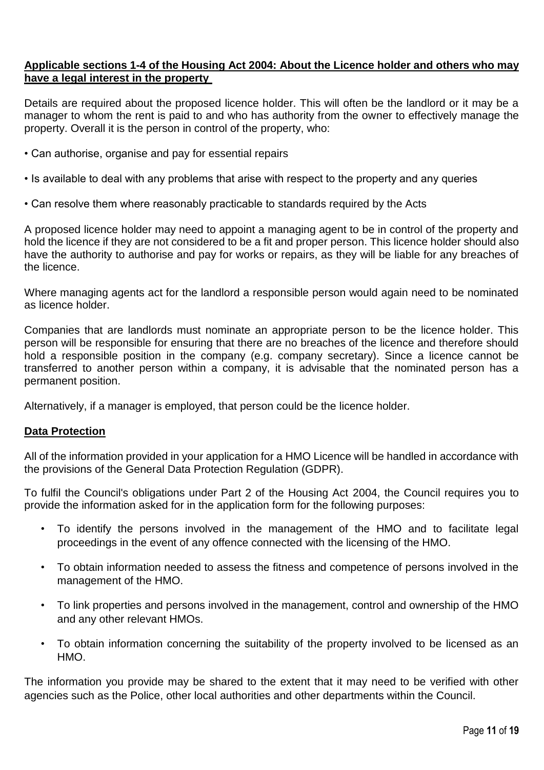# **Applicable sections 1-4 of the Housing Act 2004: About the Licence holder and others who may have a legal interest in the property**

Details are required about the proposed licence holder. This will often be the landlord or it may be a manager to whom the rent is paid to and who has authority from the owner to effectively manage the property. Overall it is the person in control of the property, who:

- Can authorise, organise and pay for essential repairs
- Is available to deal with any problems that arise with respect to the property and any queries
- Can resolve them where reasonably practicable to standards required by the Acts

A proposed licence holder may need to appoint a managing agent to be in control of the property and hold the licence if they are not considered to be a fit and proper person. This licence holder should also have the authority to authorise and pay for works or repairs, as they will be liable for any breaches of the licence.

Where managing agents act for the landlord a responsible person would again need to be nominated as licence holder.

Companies that are landlords must nominate an appropriate person to be the licence holder. This person will be responsible for ensuring that there are no breaches of the licence and therefore should hold a responsible position in the company (e.g. company secretary). Since a licence cannot be transferred to another person within a company, it is advisable that the nominated person has a permanent position.

Alternatively, if a manager is employed, that person could be the licence holder.

# **Data Protection**

All of the information provided in your application for a HMO Licence will be handled in accordance with the provisions of the General Data Protection Regulation (GDPR).

To fulfil the Council's obligations under Part 2 of the Housing Act 2004, the Council requires you to provide the information asked for in the application form for the following purposes:

- To identify the persons involved in the management of the HMO and to facilitate legal proceedings in the event of any offence connected with the licensing of the HMO.
- To obtain information needed to assess the fitness and competence of persons involved in the management of the HMO.
- To link properties and persons involved in the management, control and ownership of the HMO and any other relevant HMOs.
- To obtain information concerning the suitability of the property involved to be licensed as an HMO.

The information you provide may be shared to the extent that it may need to be verified with other agencies such as the Police, other local authorities and other departments within the Council.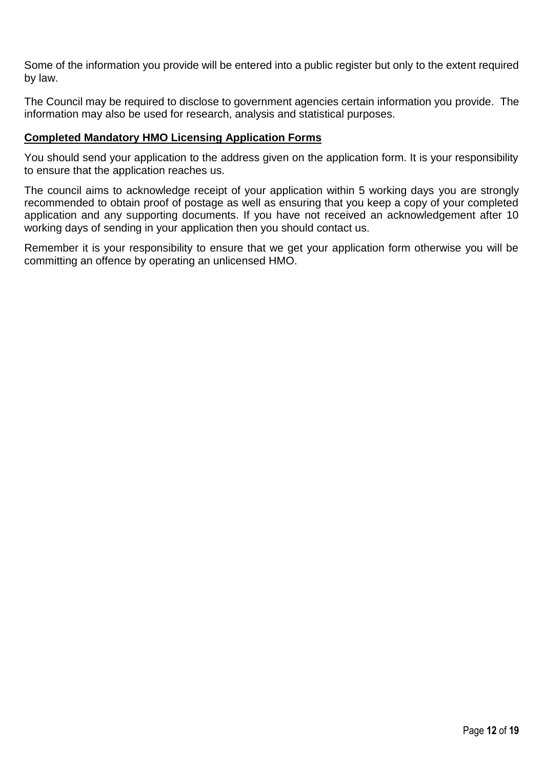Some of the information you provide will be entered into a public register but only to the extent required by law.

The Council may be required to disclose to government agencies certain information you provide. The information may also be used for research, analysis and statistical purposes.

## **Completed Mandatory HMO Licensing Application Forms**

You should send your application to the address given on the application form. It is your responsibility to ensure that the application reaches us.

The council aims to acknowledge receipt of your application within 5 working days you are strongly recommended to obtain proof of postage as well as ensuring that you keep a copy of your completed application and any supporting documents. If you have not received an acknowledgement after 10 working days of sending in your application then you should contact us.

Remember it is your responsibility to ensure that we get your application form otherwise you will be committing an offence by operating an unlicensed HMO.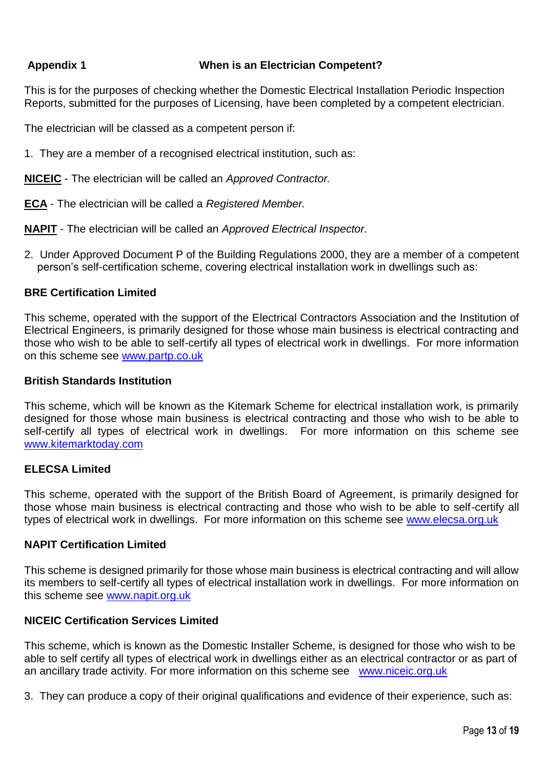# **Appendix 1 When is an Electrician Competent?**

This is for the purposes of checking whether the Domestic Electrical Installation Periodic Inspection Reports, submitted for the purposes of Licensing, have been completed by a competent electrician.

The electrician will be classed as a competent person if:

1. They are a member of a recognised electrical institution, such as:

**NICEIC** - The electrician will be called an *Approved Contractor.* 

**ECA** - The electrician will be called a *Registered Member.*

**NAPIT** - The electrician will be called an *Approved Electrical Inspector.* 

2. Under Approved Document P of the Building Regulations 2000, they are a member of a competent person's self-certification scheme, covering electrical installation work in dwellings such as:

### **BRE Certification Limited**

This scheme, operated with the support of the Electrical Contractors Association and the Institution of Electrical Engineers, is primarily designed for those whose main business is electrical contracting and those who wish to be able to self-certify all types of electrical work in dwellings. For more information on this scheme see www.partp.co.uk

#### **British Standards Institution**

This scheme, which will be known as the Kitemark Scheme for electrical installation work, is primarily designed for those whose main business is electrical contracting and those who wish to be able to self-certify all types of electrical work in dwellings. For more information on this scheme see [www.kitemarktoday.com](http://www.kitemarktoday.com/)

#### **ELECSA Limited**

This scheme, operated with the support of the British Board of Agreement, is primarily designed for those whose main business is electrical contracting and those who wish to be able to self-certify all types of electrical work in dwellings. For more information on this scheme see [www.elecsa.org.uk](http://www.elecsa.org.uk/)

#### **NAPIT Certification Limited**

This scheme is designed primarily for those whose main business is electrical contracting and will allow its members to self-certify all types of electrical installation work in dwellings. For more information on this scheme see [www.napit.org.uk](http://www.napit.org.uk/)

### **NICEIC Certification Services Limited**

This scheme, which is known as the Domestic Installer Scheme, is designed for those who wish to be able to self certify all types of electrical work in dwellings either as an electrical contractor or as part of an ancillary trade activity. For more information on this scheme see [www.niceic.org.uk](http://www.niceic.org.uk/)

3. They can produce a copy of their original qualifications and evidence of their experience, such as: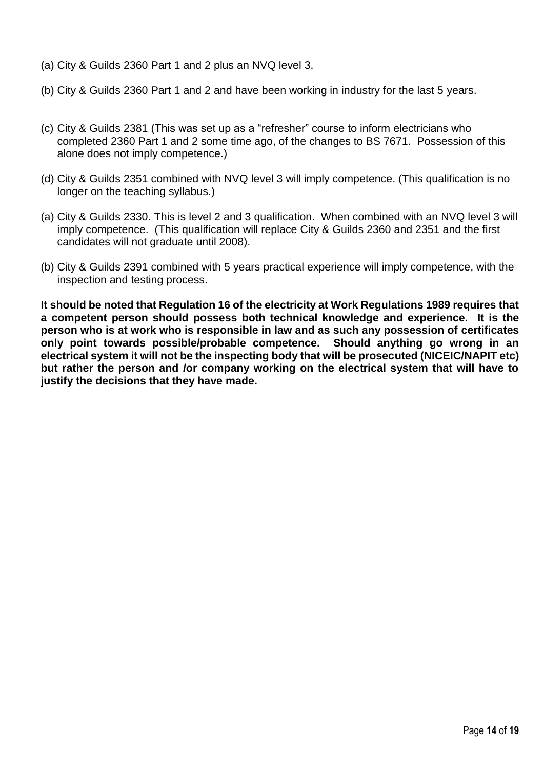- (a) City & Guilds 2360 Part 1 and 2 plus an NVQ level 3.
- (b) City & Guilds 2360 Part 1 and 2 and have been working in industry for the last 5 years.
- (c) City & Guilds 2381 (This was set up as a "refresher" course to inform electricians who completed 2360 Part 1 and 2 some time ago, of the changes to BS 7671. Possession of this alone does not imply competence.)
- (d) City & Guilds 2351 combined with NVQ level 3 will imply competence. (This qualification is no longer on the teaching syllabus.)
- (a) City & Guilds 2330. This is level 2 and 3 qualification. When combined with an NVQ level 3 will imply competence. (This qualification will replace City & Guilds 2360 and 2351 and the first candidates will not graduate until 2008).
- (b) City & Guilds 2391 combined with 5 years practical experience will imply competence, with the inspection and testing process.

**It should be noted that Regulation 16 of the electricity at Work Regulations 1989 requires that a competent person should possess both technical knowledge and experience. It is the person who is at work who is responsible in law and as such any possession of certificates only point towards possible/probable competence. Should anything go wrong in an electrical system it will not be the inspecting body that will be prosecuted (NICEIC/NAPIT etc) but rather the person and /or company working on the electrical system that will have to justify the decisions that they have made.**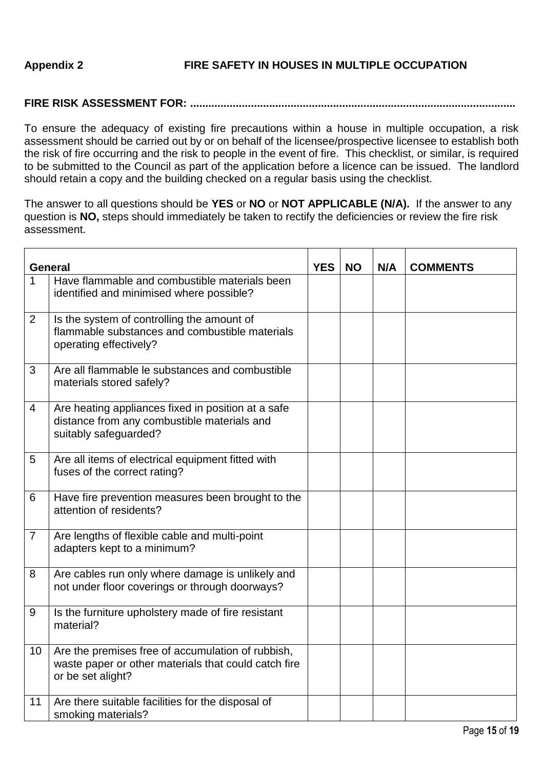# **FIRE RISK ASSESSMENT FOR: ...........................................................................................................**

To ensure the adequacy of existing fire precautions within a house in multiple occupation, a risk assessment should be carried out by or on behalf of the licensee/prospective licensee to establish both the risk of fire occurring and the risk to people in the event of fire. This checklist, or similar, is required to be submitted to the Council as part of the application before a licence can be issued. The landlord should retain a copy and the building checked on a regular basis using the checklist.

The answer to all questions should be **YES** or **NO** or **NOT APPLICABLE (N/A).** If the answer to any question is **NO,** steps should immediately be taken to rectify the deficiencies or review the fire risk assessment.

|                | <b>General</b>                                                                                                                 | <b>YES</b> | <b>NO</b> | N/A | <b>COMMENTS</b> |
|----------------|--------------------------------------------------------------------------------------------------------------------------------|------------|-----------|-----|-----------------|
| 1              | Have flammable and combustible materials been<br>identified and minimised where possible?                                      |            |           |     |                 |
| $\overline{2}$ | Is the system of controlling the amount of<br>flammable substances and combustible materials<br>operating effectively?         |            |           |     |                 |
| 3              | Are all flammable le substances and combustible<br>materials stored safely?                                                    |            |           |     |                 |
| 4              | Are heating appliances fixed in position at a safe<br>distance from any combustible materials and<br>suitably safeguarded?     |            |           |     |                 |
| 5              | Are all items of electrical equipment fitted with<br>fuses of the correct rating?                                              |            |           |     |                 |
| 6              | Have fire prevention measures been brought to the<br>attention of residents?                                                   |            |           |     |                 |
| 7              | Are lengths of flexible cable and multi-point<br>adapters kept to a minimum?                                                   |            |           |     |                 |
| 8              | Are cables run only where damage is unlikely and<br>not under floor coverings or through doorways?                             |            |           |     |                 |
| 9              | Is the furniture upholstery made of fire resistant<br>material?                                                                |            |           |     |                 |
| 10             | Are the premises free of accumulation of rubbish,<br>waste paper or other materials that could catch fire<br>or be set alight? |            |           |     |                 |
| 11             | Are there suitable facilities for the disposal of<br>smoking materials?                                                        |            |           |     |                 |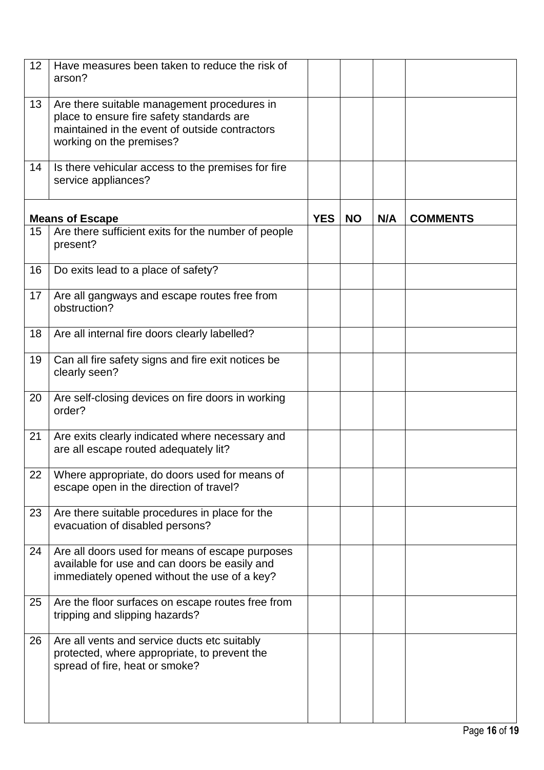| 12 | Have measures been taken to reduce the risk of<br>arson?                                                                                                               |            |           |     |                 |
|----|------------------------------------------------------------------------------------------------------------------------------------------------------------------------|------------|-----------|-----|-----------------|
| 13 | Are there suitable management procedures in<br>place to ensure fire safety standards are<br>maintained in the event of outside contractors<br>working on the premises? |            |           |     |                 |
| 14 | Is there vehicular access to the premises for fire<br>service appliances?                                                                                              |            |           |     |                 |
|    | <b>Means of Escape</b>                                                                                                                                                 | <b>YES</b> | <b>NO</b> | N/A | <b>COMMENTS</b> |
| 15 | Are there sufficient exits for the number of people<br>present?                                                                                                        |            |           |     |                 |
| 16 | Do exits lead to a place of safety?                                                                                                                                    |            |           |     |                 |
| 17 | Are all gangways and escape routes free from<br>obstruction?                                                                                                           |            |           |     |                 |
| 18 | Are all internal fire doors clearly labelled?                                                                                                                          |            |           |     |                 |
| 19 | Can all fire safety signs and fire exit notices be<br>clearly seen?                                                                                                    |            |           |     |                 |
| 20 | Are self-closing devices on fire doors in working<br>order?                                                                                                            |            |           |     |                 |
| 21 | Are exits clearly indicated where necessary and<br>are all escape routed adequately lit?                                                                               |            |           |     |                 |
| 22 | Where appropriate, do doors used for means of<br>escape open in the direction of travel?                                                                               |            |           |     |                 |
| 23 | Are there suitable procedures in place for the<br>evacuation of disabled persons?                                                                                      |            |           |     |                 |
| 24 | Are all doors used for means of escape purposes<br>available for use and can doors be easily and<br>immediately opened without the use of a key?                       |            |           |     |                 |
| 25 | Are the floor surfaces on escape routes free from<br>tripping and slipping hazards?                                                                                    |            |           |     |                 |
| 26 | Are all vents and service ducts etc suitably<br>protected, where appropriate, to prevent the<br>spread of fire, heat or smoke?                                         |            |           |     |                 |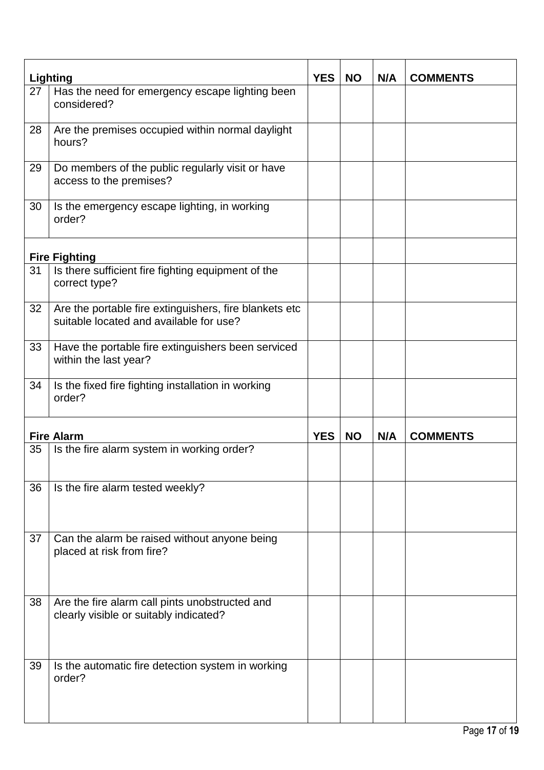|    | <b>Lighting</b>                                                                                   | <b>YES</b> | <b>NO</b> | N/A | <b>COMMENTS</b> |
|----|---------------------------------------------------------------------------------------------------|------------|-----------|-----|-----------------|
| 27 | Has the need for emergency escape lighting been<br>considered?                                    |            |           |     |                 |
| 28 | Are the premises occupied within normal daylight<br>hours?                                        |            |           |     |                 |
| 29 | Do members of the public regularly visit or have<br>access to the premises?                       |            |           |     |                 |
| 30 | Is the emergency escape lighting, in working<br>order?                                            |            |           |     |                 |
|    | <b>Fire Fighting</b>                                                                              |            |           |     |                 |
| 31 | Is there sufficient fire fighting equipment of the<br>correct type?                               |            |           |     |                 |
| 32 | Are the portable fire extinguishers, fire blankets etc<br>suitable located and available for use? |            |           |     |                 |
| 33 | Have the portable fire extinguishers been serviced<br>within the last year?                       |            |           |     |                 |
| 34 | Is the fixed fire fighting installation in working<br>order?                                      |            |           |     |                 |
|    | <b>Fire Alarm</b>                                                                                 | <b>YES</b> | <b>NO</b> | N/A | <b>COMMENTS</b> |
| 35 | Is the fire alarm system in working order?                                                        |            |           |     |                 |
| 36 | Is the fire alarm tested weekly?                                                                  |            |           |     |                 |
| 37 | Can the alarm be raised without anyone being<br>placed at risk from fire?                         |            |           |     |                 |
| 38 | Are the fire alarm call pints unobstructed and<br>clearly visible or suitably indicated?          |            |           |     |                 |
| 39 | Is the automatic fire detection system in working<br>order?                                       |            |           |     |                 |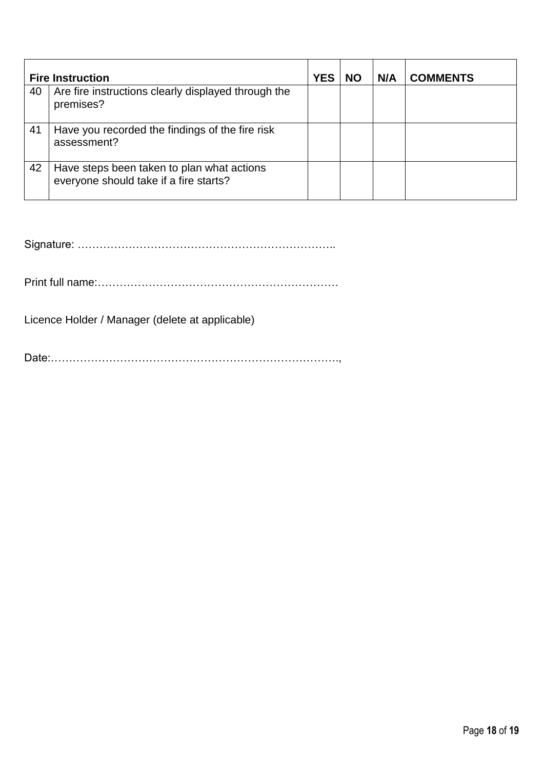|    | <b>Fire Instruction</b>                                                              | <b>YES</b> | <b>NO</b> | N/A | <b>COMMENTS</b> |
|----|--------------------------------------------------------------------------------------|------------|-----------|-----|-----------------|
| 40 | Are fire instructions clearly displayed through the<br>premises?                     |            |           |     |                 |
| 41 | Have you recorded the findings of the fire risk<br>assessment?                       |            |           |     |                 |
| 42 | Have steps been taken to plan what actions<br>everyone should take if a fire starts? |            |           |     |                 |

Signature: ……………………………………………………………..

Print full name:…………………………………………………………

Licence Holder / Manager (delete at applicable)

Date:…………………………………………………………………….,